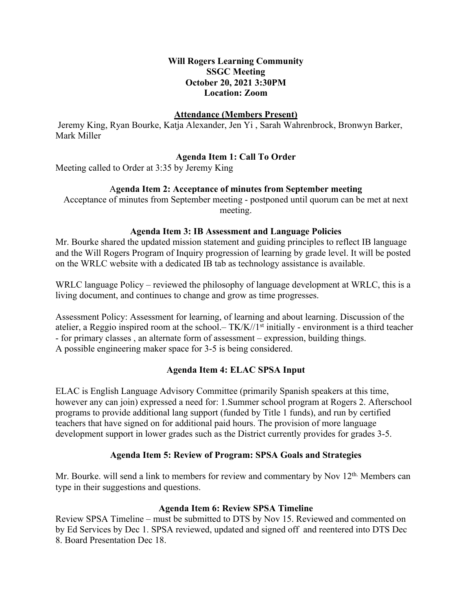## **Will Rogers Learning Community SSGC Meeting October 20, 2021 3:30PM Location: Zoom**

#### **Attendance (Members Present)**

Jeremy King, Ryan Bourke, Katja Alexander, Jen Yi , Sarah Wahrenbrock, Bronwyn Barker, Mark Miller

## **Agenda Item 1: Call To Order**

Meeting called to Order at 3:35 by Jeremy King

### A**genda Item 2: Acceptance of minutes from September meeting**

Acceptance of minutes from September meeting - postponed until quorum can be met at next meeting.

### **Agenda Item 3: IB Assessment and Language Policies**

Mr. Bourke shared the updated mission statement and guiding principles to reflect IB language and the Will Rogers Program of Inquiry progression of learning by grade level. It will be posted on the WRLC website with a dedicated IB tab as technology assistance is available.

WRLC language Policy – reviewed the philosophy of language development at WRLC, this is a living document, and continues to change and grow as time progresses.

Assessment Policy: Assessment for learning, of learning and about learning. Discussion of the atelier, a Reggio inspired room at the school.– TK/K//1<sup>st</sup> initially - environment is a third teacher - for primary classes , an alternate form of assessment – expression, building things. A possible engineering maker space for 3-5 is being considered.

### **Agenda Item 4: ELAC SPSA Input**

ELAC is English Language Advisory Committee (primarily Spanish speakers at this time, however any can join) expressed a need for: 1.Summer school program at Rogers 2. Afterschool programs to provide additional lang support (funded by Title 1 funds), and run by certified teachers that have signed on for additional paid hours. The provision of more language development support in lower grades such as the District currently provides for grades 3-5.

### **Agenda Item 5: Review of Program: SPSA Goals and Strategies**

Mr. Bourke, will send a link to members for review and commentary by Nov 12<sup>th.</sup> Members can type in their suggestions and questions.

### **Agenda Item 6: Review SPSA Timeline**

Review SPSA Timeline – must be submitted to DTS by Nov 15. Reviewed and commented on by Ed Services by Dec 1. SPSA reviewed, updated and signed off and reentered into DTS Dec 8. Board Presentation Dec 18.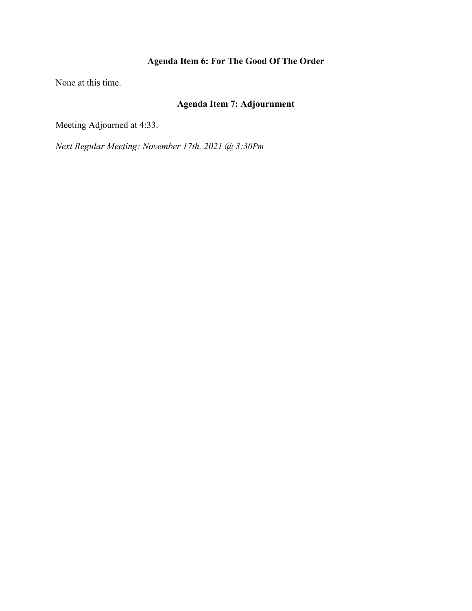# **Agenda Item 6: For The Good Of The Order**

None at this time.

# **Agenda Item 7: Adjournment**

Meeting Adjourned at 4:33.

*Next Regular Meeting: November 17th, 2021 @ 3:30Pm*